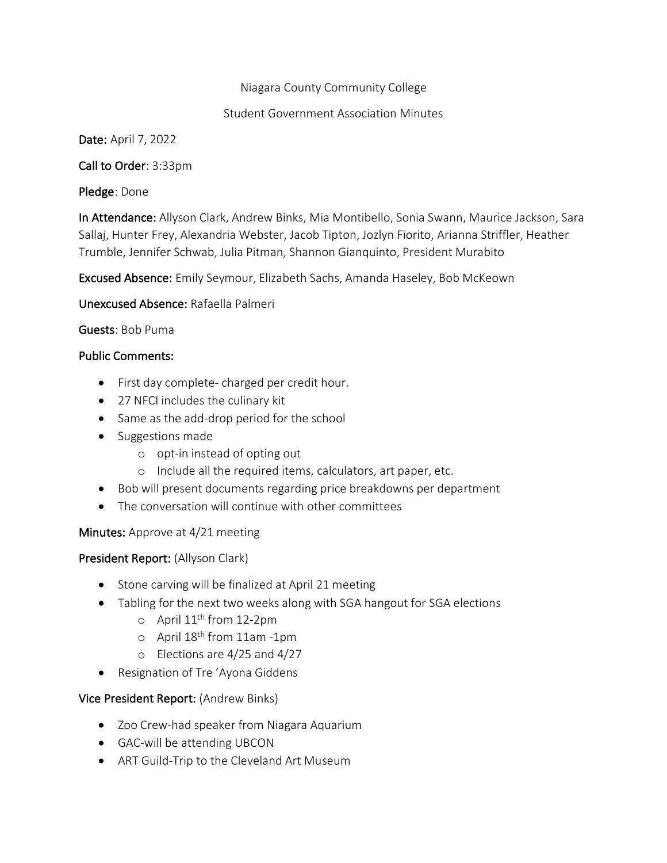## Niagara County Community College

### Student Government Association Minutes

Date: April 7, 2022

Call to Order: 3:33pm

Pledge: Done

In Attendance: Allyson Clark, Andrew Binks, Mia Montibello, Sonia Swann, Maurice Jackson, Sara Sallaj, Hunter Frey, Alexandria Webster, Jacob Tipton, Jozlyn Fiorito, Arianna Striffler, Heather Trumble, Jennifer Schwab, Julia Pitman, Shannon Gianquinto, President Murabito

Excused Absence: Emily Seymour, Elizabeth Sachs, Amanda Haseley, Bob McKeown

Unexcused Absence: Rafaella Palmeri

## Guests: Bob Puma

#### Public Comments:

- First day complete- charged per credit hour.
- 27 NFCI includes the culinary kit
- Same as the add-drop period for the school
- Suggestions made
	- o opt-in instead of opting out
	- o Include all the required items, calculators, art paper, etc.
- Bob will present documents regarding price breakdowns per department
- The conversation will continue with other committees

## Minutes: Approve at 4/21 meeting

## President Report: (Allyson Clark)

- Stone carving will be finalized at April 21 meeting
- Tabling for the next two weeks along with SGA hangout for SGA elections
	- $\circ$  April 11<sup>th</sup> from 12-2pm
	- o April 18th from 11am -1pm
	- o Elections are 4/25 and 4/27
- Resignation of Tre 'Ayona Giddens

## Vice President Report: (Andrew Binks)

- Zoo Crew-had speaker from Niagara Aquarium
- GAC-will be attending UBCON
- ART Guild-Trip to the Cleveland Art Museum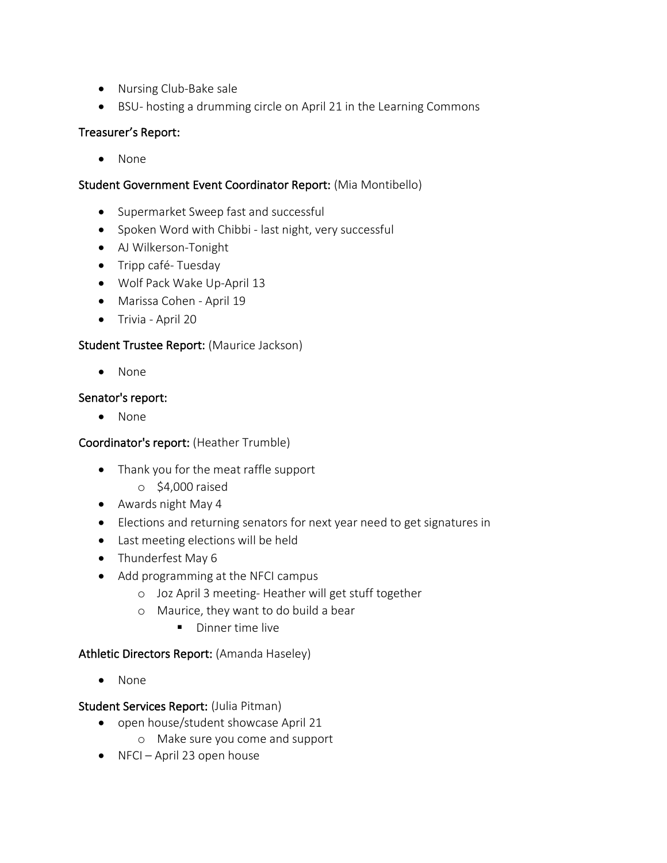- Nursing Club-Bake sale
- BSU- hosting a drumming circle on April 21 in the Learning Commons

## Treasurer's Report:

• None

## Student Government Event Coordinator Report: (Mia Montibello)

- Supermarket Sweep fast and successful
- Spoken Word with Chibbi last night, very successful
- AJ Wilkerson-Tonight
- Tripp café- Tuesday
- Wolf Pack Wake Up-April 13
- Marissa Cohen April 19
- Trivia April 20

# Student Trustee Report: (Maurice Jackson)

• None

#### Senator's report:

• None

## Coordinator's report: (Heather Trumble)

- Thank you for the meat raffle support
	- o \$4,000 raised
- Awards night May 4
- Elections and returning senators for next year need to get signatures in
- Last meeting elections will be held
- Thunderfest May 6
- Add programming at the NFCI campus
	- o Joz April 3 meeting- Heather will get stuff together
	- o Maurice, they want to do build a bear
		- Dinner time live

## Athletic Directors Report: (Amanda Haseley)

• None

#### Student Services Report: (Julia Pitman)

- open house/student showcase April 21
	- o Make sure you come and support
- NFCI April 23 open house